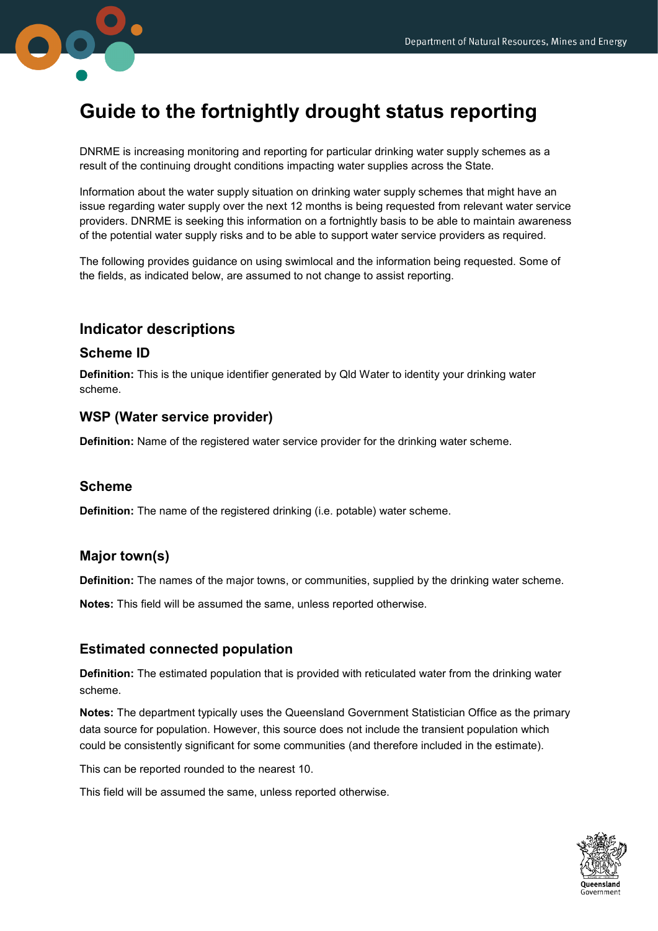

# Guide to the fortnightly drought status reporting

DNRME is increasing monitoring and reporting for particular drinking water supply schemes as a result of the continuing drought conditions impacting water supplies across the State.

Information about the water supply situation on drinking water supply schemes that might have an issue regarding water supply over the next 12 months is being requested from relevant water service providers. DNRME is seeking this information on a fortnightly basis to be able to maintain awareness of the potential water supply risks and to be able to support water service providers as required.

The following provides guidance on using swimlocal and the information being requested. Some of the fields, as indicated below, are assumed to not change to assist reporting.

# Indicator descriptions

#### Scheme ID

Definition: This is the unique identifier generated by Qld Water to identity your drinking water scheme.

#### WSP (Water service provider)

Definition: Name of the registered water service provider for the drinking water scheme.

#### Scheme

Definition: The name of the registered drinking (i.e. potable) water scheme.

#### Major town(s)

Definition: The names of the major towns, or communities, supplied by the drinking water scheme.

Notes: This field will be assumed the same, unless reported otherwise.

#### Estimated connected population

**Definition:** The estimated population that is provided with reticulated water from the drinking water scheme.

Notes: The department typically uses the Queensland Government Statistician Office as the primary data source for population. However, this source does not include the transient population which could be consistently significant for some communities (and therefore included in the estimate).

This can be reported rounded to the nearest 10.

This field will be assumed the same, unless reported otherwise.

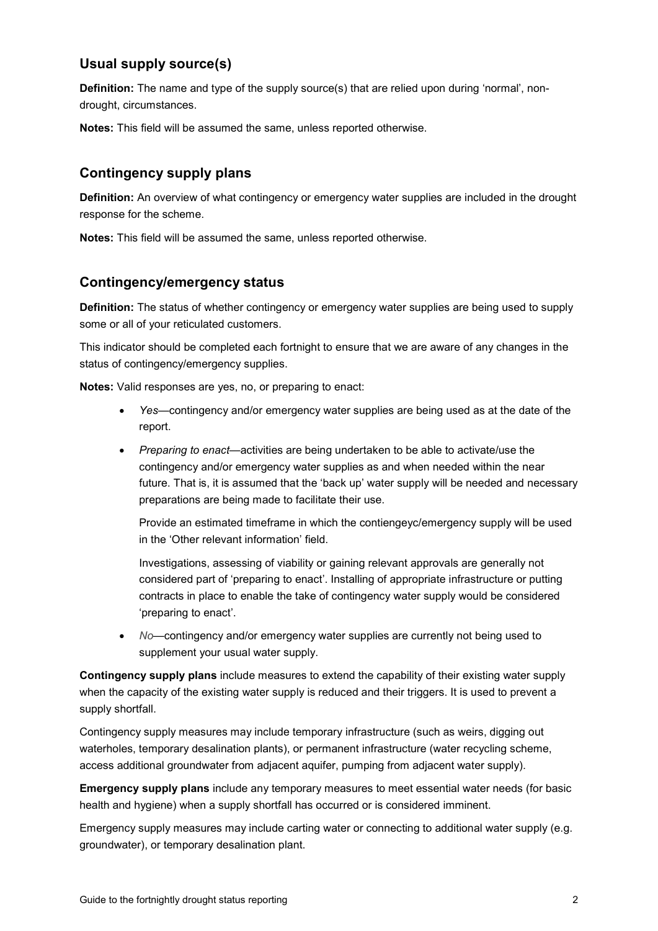# Usual supply source(s)

**Definition:** The name and type of the supply source(s) that are relied upon during 'normal', nondrought, circumstances.

Notes: This field will be assumed the same, unless reported otherwise.

# Contingency supply plans

Definition: An overview of what contingency or emergency water supplies are included in the drought response for the scheme.

Notes: This field will be assumed the same, unless reported otherwise.

#### Contingency/emergency status

Definition: The status of whether contingency or emergency water supplies are being used to supply some or all of your reticulated customers.

This indicator should be completed each fortnight to ensure that we are aware of any changes in the status of contingency/emergency supplies.

Notes: Valid responses are yes, no, or preparing to enact:

- Yes—contingency and/or emergency water supplies are being used as at the date of the report.
- Preparing to enact—activities are being undertaken to be able to activate/use the contingency and/or emergency water supplies as and when needed within the near future. That is, it is assumed that the 'back up' water supply will be needed and necessary preparations are being made to facilitate their use.

Provide an estimated timeframe in which the contiengeyc/emergency supply will be used in the 'Other relevant information' field.

Investigations, assessing of viability or gaining relevant approvals are generally not considered part of 'preparing to enact'. Installing of appropriate infrastructure or putting contracts in place to enable the take of contingency water supply would be considered 'preparing to enact'.

 No—contingency and/or emergency water supplies are currently not being used to supplement your usual water supply.

Contingency supply plans include measures to extend the capability of their existing water supply when the capacity of the existing water supply is reduced and their triggers. It is used to prevent a supply shortfall.

Contingency supply measures may include temporary infrastructure (such as weirs, digging out waterholes, temporary desalination plants), or permanent infrastructure (water recycling scheme, access additional groundwater from adjacent aquifer, pumping from adjacent water supply).

Emergency supply plans include any temporary measures to meet essential water needs (for basic health and hygiene) when a supply shortfall has occurred or is considered imminent.

Emergency supply measures may include carting water or connecting to additional water supply (e.g. groundwater), or temporary desalination plant.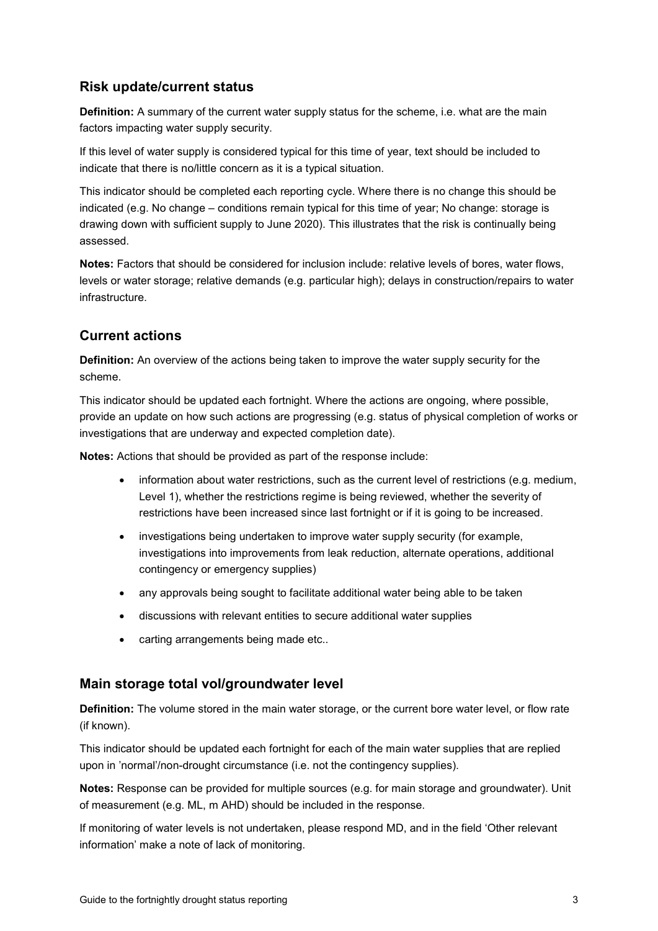# Risk update/current status

Definition: A summary of the current water supply status for the scheme, i.e. what are the main factors impacting water supply security.

If this level of water supply is considered typical for this time of year, text should be included to indicate that there is no/little concern as it is a typical situation.

This indicator should be completed each reporting cycle. Where there is no change this should be indicated (e.g. No change – conditions remain typical for this time of year; No change: storage is drawing down with sufficient supply to June 2020). This illustrates that the risk is continually being assessed.

Notes: Factors that should be considered for inclusion include: relative levels of bores, water flows, levels or water storage; relative demands (e.g. particular high); delays in construction/repairs to water infrastructure.

#### Current actions

Definition: An overview of the actions being taken to improve the water supply security for the scheme.

This indicator should be updated each fortnight. Where the actions are ongoing, where possible, provide an update on how such actions are progressing (e.g. status of physical completion of works or investigations that are underway and expected completion date).

Notes: Actions that should be provided as part of the response include:

- information about water restrictions, such as the current level of restrictions (e.g. medium, Level 1), whether the restrictions regime is being reviewed, whether the severity of restrictions have been increased since last fortnight or if it is going to be increased.
- investigations being undertaken to improve water supply security (for example, investigations into improvements from leak reduction, alternate operations, additional contingency or emergency supplies)
- any approvals being sought to facilitate additional water being able to be taken
- discussions with relevant entities to secure additional water supplies
- carting arrangements being made etc..

#### Main storage total vol/groundwater level

Definition: The volume stored in the main water storage, or the current bore water level, or flow rate (if known).

This indicator should be updated each fortnight for each of the main water supplies that are replied upon in 'normal'/non-drought circumstance (i.e. not the contingency supplies).

Notes: Response can be provided for multiple sources (e.g. for main storage and groundwater). Unit of measurement (e.g. ML, m AHD) should be included in the response.

If monitoring of water levels is not undertaken, please respond MD, and in the field 'Other relevant information' make a note of lack of monitoring.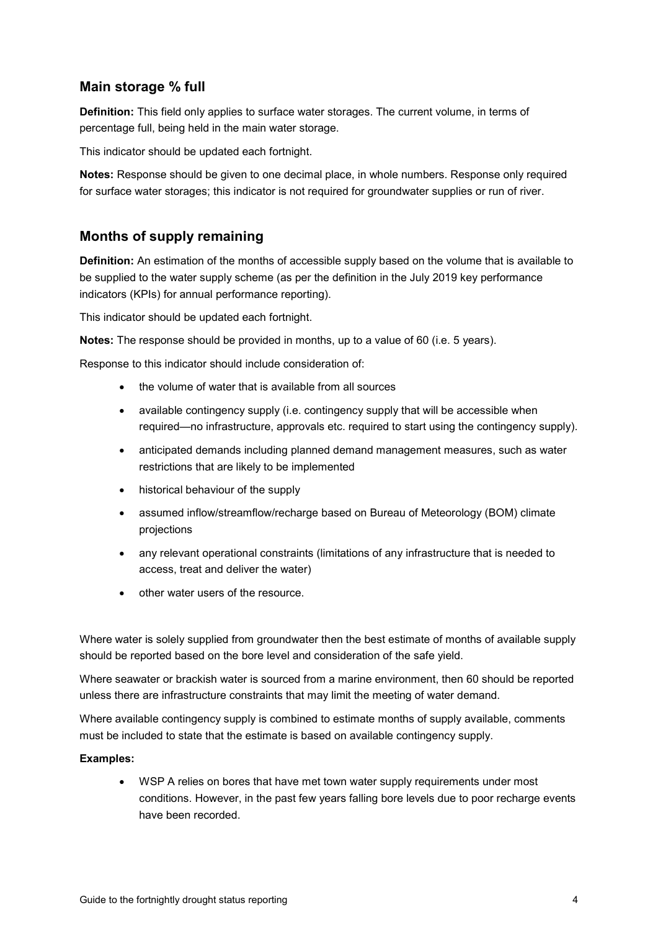# Main storage % full

**Definition:** This field only applies to surface water storages. The current volume, in terms of percentage full, being held in the main water storage.

This indicator should be updated each fortnight.

Notes: Response should be given to one decimal place, in whole numbers. Response only required for surface water storages; this indicator is not required for groundwater supplies or run of river.

#### Months of supply remaining

**Definition:** An estimation of the months of accessible supply based on the volume that is available to be supplied to the water supply scheme (as per the definition in the July 2019 key performance indicators (KPIs) for annual performance reporting).

This indicator should be updated each fortnight.

Notes: The response should be provided in months, up to a value of 60 (i.e. 5 years).

Response to this indicator should include consideration of:

- the volume of water that is available from all sources
- available contingency supply (i.e. contingency supply that will be accessible when required—no infrastructure, approvals etc. required to start using the contingency supply).
- anticipated demands including planned demand management measures, such as water restrictions that are likely to be implemented
- historical behaviour of the supply
- assumed inflow/streamflow/recharge based on Bureau of Meteorology (BOM) climate projections
- any relevant operational constraints (limitations of any infrastructure that is needed to access, treat and deliver the water)
- other water users of the resource.

Where water is solely supplied from groundwater then the best estimate of months of available supply should be reported based on the bore level and consideration of the safe yield.

Where seawater or brackish water is sourced from a marine environment, then 60 should be reported unless there are infrastructure constraints that may limit the meeting of water demand.

Where available contingency supply is combined to estimate months of supply available, comments must be included to state that the estimate is based on available contingency supply.

#### Examples:

 WSP A relies on bores that have met town water supply requirements under most conditions. However, in the past few years falling bore levels due to poor recharge events have been recorded.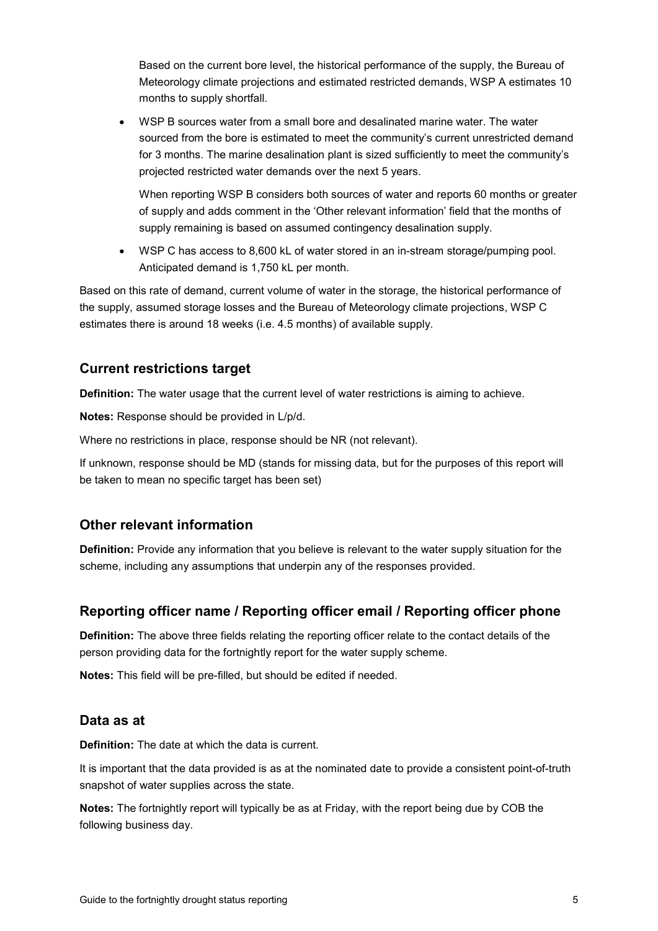Based on the current bore level, the historical performance of the supply, the Bureau of Meteorology climate projections and estimated restricted demands, WSP A estimates 10 months to supply shortfall.

 WSP B sources water from a small bore and desalinated marine water. The water sourced from the bore is estimated to meet the community's current unrestricted demand for 3 months. The marine desalination plant is sized sufficiently to meet the community's projected restricted water demands over the next 5 years.

When reporting WSP B considers both sources of water and reports 60 months or greater of supply and adds comment in the 'Other relevant information' field that the months of supply remaining is based on assumed contingency desalination supply.

WSP C has access to 8,600 kL of water stored in an in-stream storage/pumping pool. Anticipated demand is 1,750 kL per month.

Based on this rate of demand, current volume of water in the storage, the historical performance of the supply, assumed storage losses and the Bureau of Meteorology climate projections, WSP C estimates there is around 18 weeks (i.e. 4.5 months) of available supply.

# Current restrictions target

Definition: The water usage that the current level of water restrictions is aiming to achieve.

Notes: Response should be provided in L/p/d.

Where no restrictions in place, response should be NR (not relevant).

If unknown, response should be MD (stands for missing data, but for the purposes of this report will be taken to mean no specific target has been set)

#### Other relevant information

Definition: Provide any information that you believe is relevant to the water supply situation for the scheme, including any assumptions that underpin any of the responses provided.

# Reporting officer name / Reporting officer email / Reporting officer phone

Definition: The above three fields relating the reporting officer relate to the contact details of the person providing data for the fortnightly report for the water supply scheme.

Notes: This field will be pre-filled, but should be edited if needed.

#### Data as at

Definition: The date at which the data is current.

It is important that the data provided is as at the nominated date to provide a consistent point-of-truth snapshot of water supplies across the state.

Notes: The fortnightly report will typically be as at Friday, with the report being due by COB the following business day.